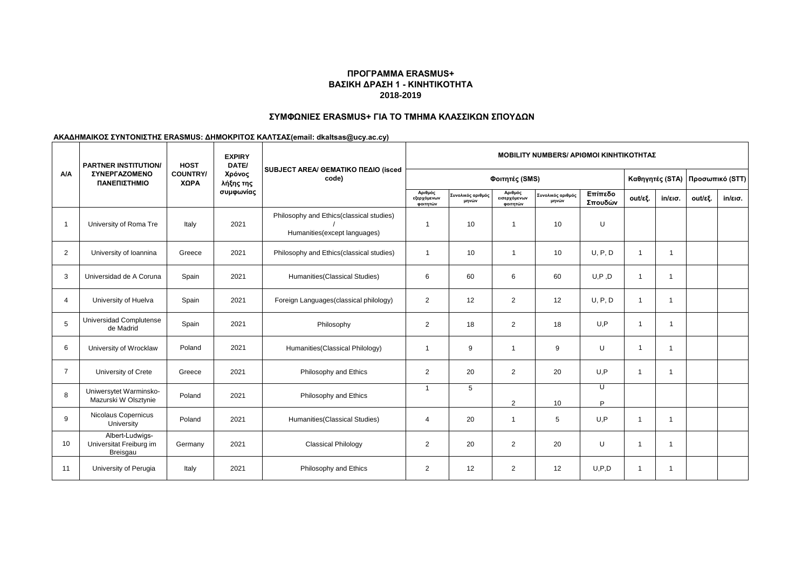### **ΠΡΟΓΡΑΜΜΑ ERASMUS+ ΒΑΣΙΚΗ ΔΡΑΣΗ 1 - ΚΙΝΗΤΙΚΟΤΗΤΑ 2018-2019**

### **ΣΥΜΦΩΝΙΕΣ ERASMUS+ ΓΙΑ ΤΟ ΤΜΗΜΑ ΚΛΑΣΣΙΚΩΝ ΣΠΟΥΔΩΝ**

#### **ΑΚΑΔΗΜΑΙΚΟΣ ΣΥΝΤΟΝΙΣΤΗΣ ERASMUS: ΔΗΜΟΚΡΙΤΟΣ ΚΑΛΤΣΑΣ(email: dkaltsas@ucy.ac.cy)**

| <b>A/A</b>              | <b>PARTNER INSTITUTION/</b><br><b><i>ΣΥΝΕΡΓΑΖΟΜΕΝΟ</i></b><br>ΠΑΝΕΠΙΣΤΗΜΙΟ | <b>HOST</b><br><b>COUNTRY/</b><br>ΧΩΡΑ | <b>EXPIRY</b><br>DATE/<br>Χρόνος<br>λήξης της<br>συμφωνίας | SUBJECT AREA/ GEMATIKO ΠΕΔΙΟ (isced<br>code)                              | <b>MOBILITY NUMBERS/ APIOMOI KINHTIKOTHTAZ</b> |                            |                                     |                            |                    |                 |                   |                 |                   |
|-------------------------|----------------------------------------------------------------------------|----------------------------------------|------------------------------------------------------------|---------------------------------------------------------------------------|------------------------------------------------|----------------------------|-------------------------------------|----------------------------|--------------------|-----------------|-------------------|-----------------|-------------------|
|                         |                                                                            |                                        |                                                            |                                                                           | Φοιτητές (SMS)                                 |                            |                                     |                            |                    | Καθηγητές (STA) |                   | Προσωπικό (STT) |                   |
|                         |                                                                            |                                        |                                                            |                                                                           | Αριθμός<br>εξερχόμενων<br>φοιτητών             | Συνολικός αριθμός<br>μηνών | Αριθμός<br>εισερχόμενων<br>φοιτητών | Συνολικός αριθμός<br>μηνών | Επίπεδο<br>Σπουδών | out/εξ.         | $in/\epsilon$ ισ. | out/εξ.         | $in/\epsilon$ ισ. |
| $\overline{\mathbf{1}}$ | University of Roma Tre                                                     | Italy                                  | 2021                                                       | Philosophy and Ethics(classical studies)<br>Humanities (except languages) | $\overline{1}$                                 | 10                         | $\overline{1}$                      | 10                         | U                  |                 |                   |                 |                   |
| 2                       | University of Ioannina                                                     | Greece                                 | 2021                                                       | Philosophy and Ethics(classical studies)                                  | $\overline{1}$                                 | 10                         | $\overline{1}$                      | 10                         | U, P, D            | $\overline{1}$  | $\overline{1}$    |                 |                   |
| 3                       | Universidad de A Coruna                                                    | Spain                                  | 2021                                                       | Humanities (Classical Studies)                                            | 6                                              | 60                         | 6                                   | 60                         | U, P, D            | $\overline{1}$  | $\overline{1}$    |                 |                   |
| $\overline{4}$          | University of Huelva                                                       | Spain                                  | 2021                                                       | Foreign Languages (classical philology)                                   | $\overline{2}$                                 | 12                         | 2                                   | 12                         | U, P, D            | $\overline{1}$  | $\overline{1}$    |                 |                   |
| 5                       | Universidad Complutense<br>de Madrid                                       | Spain                                  | 2021                                                       | Philosophy                                                                | $\overline{2}$                                 | 18                         | 2                                   | 18                         | U, P               | $\overline{1}$  | $\mathbf{1}$      |                 |                   |
| 6                       | University of Wrocklaw                                                     | Poland                                 | 2021                                                       | Humanities (Classical Philology)                                          | $\overline{1}$                                 | 9                          | $\mathbf{1}$                        | 9                          | U                  | $\overline{1}$  | $\overline{1}$    |                 |                   |
| $\overline{7}$          | University of Crete                                                        | Greece                                 | 2021                                                       | Philosophy and Ethics                                                     | $\overline{2}$                                 | 20                         | 2                                   | 20                         | U.P                | $\overline{1}$  | -1                |                 |                   |
| 8                       | Uniwersytet Warminsko-<br>Mazurski W Olsztynie                             | Poland                                 | 2021                                                       | Philosophy and Ethics                                                     | $\mathbf{1}$                                   | 5                          | $\overline{2}$                      | 10                         | U<br>P             |                 |                   |                 |                   |
| 9                       | Nicolaus Copernicus<br>University                                          | Poland                                 | 2021                                                       | Humanities (Classical Studies)                                            | 4                                              | 20                         | $\mathbf{1}$                        | 5                          | U.P                | $\mathbf{1}$    | $\overline{1}$    |                 |                   |
| 10                      | Albert-Ludwigs-<br>Universitat Freiburg im<br>Breisgau                     | Germany                                | 2021                                                       | <b>Classical Philology</b>                                                | $\overline{2}$                                 | 20                         | 2                                   | 20                         | U                  | $\mathbf{1}$    | $\overline{1}$    |                 |                   |
| 11                      | University of Perugia                                                      | Italy                                  | 2021                                                       | Philosophy and Ethics                                                     | $\overline{2}$                                 | 12                         | 2                                   | 12                         | U.P.D              | $\mathbf{1}$    | $\mathbf{1}$      |                 |                   |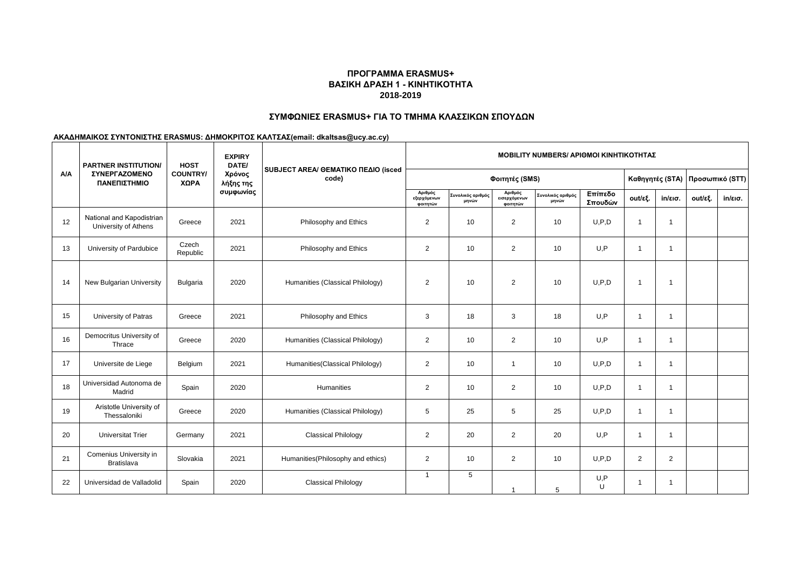### **ΠΡΟΓΡΑΜΜΑ ERASMUS+ ΒΑΣΙΚΗ ΔΡΑΣΗ 1 - ΚΙΝΗΤΙΚΟΤΗΤΑ 2018-2019**

# **ΣΥΜΦΩΝΙΕΣ ERASMUS+ ΓΙΑ ΤΟ ΤΜΗΜΑ ΚΛΑΣΣΙΚΩΝ ΣΠΟΥΔΩΝ**

### **ΑΚΑΔΗΜΑΙΚΟΣ ΣΥΝΤΟΝΙΣΤΗΣ ERASMUS: ΔΗΜΟΚΡΙΤΟΣ ΚΑΛΤΣΑΣ(email: dkaltsas@ucy.ac.cy)**

| <b>A/A</b> | <b>PARTNER INSTITUTION/</b><br>ΣΥΝΕΡΓΑΖΟΜΕΝΟ<br>ΠΑΝΕΠΙΣΤΗΜΙΟ | <b>HOST</b><br><b>COUNTRY/</b><br>ΧΩΡΑ | <b>EXPIRY</b><br>DATE/<br>Χρόνος<br>λήξης της<br>συμφωνίας | SUBJECT AREA/ GEMATIKO ΠΕΔΙΟ (isced<br>code) | <b>MOBILITY NUMBERS/ APIOMOI KINHTIKOTHTAZ</b> |                            |                                     |                            |                    |                 |                   |                 |                   |
|------------|--------------------------------------------------------------|----------------------------------------|------------------------------------------------------------|----------------------------------------------|------------------------------------------------|----------------------------|-------------------------------------|----------------------------|--------------------|-----------------|-------------------|-----------------|-------------------|
|            |                                                              |                                        |                                                            |                                              | Φοιτητές (SMS)                                 |                            |                                     |                            |                    | Καθηγητές (STA) |                   | Προσωπικό (STT) |                   |
|            |                                                              |                                        |                                                            |                                              | Αριθμός<br>εξερχόμενων<br>φοιτητών             | Συνολικός αριθμός<br>μηνών | Αριθμός<br>εισερχόμενων<br>φοιτητών | Συνολικός αριθμός<br>μηνών | Επίπεδο<br>Σπουδών | out/εξ.         | $in/\epsilon$ ισ. | out/εξ.         | $in/\epsilon$ ισ. |
| 12         | National and Kapodistrian<br>University of Athens            | Greece                                 | 2021                                                       | Philosophy and Ethics                        | $\overline{2}$                                 | 10                         | 2                                   | 10 <sup>1</sup>            | U.P.D              | $\overline{1}$  | $\mathbf{1}$      |                 |                   |
| 13         | University of Pardubice                                      | Czech<br>Republic                      | 2021                                                       | Philosophy and Ethics                        | $\overline{2}$                                 | 10                         | 2                                   | 10                         | U.P                | $\mathbf 1$     | $\mathbf{1}$      |                 |                   |
| 14         | New Bulgarian University                                     | <b>Bulgaria</b>                        | 2020                                                       | Humanities (Classical Philology)             | 2                                              | 10                         | 2                                   | 10                         | U.P.D              | $\mathbf{1}$    | $\mathbf{1}$      |                 |                   |
| 15         | University of Patras                                         | Greece                                 | 2021                                                       | Philosophy and Ethics                        | 3                                              | 18                         | 3                                   | 18                         | U.P                | $\overline{1}$  | $\mathbf{1}$      |                 |                   |
| 16         | Democritus University of<br>Thrace                           | Greece                                 | 2020                                                       | Humanities (Classical Philology)             | $\overline{2}$                                 | 10                         | 2                                   | 10                         | U.P                | $\mathbf{1}$    | $\mathbf{1}$      |                 |                   |
| 17         | Universite de Liege                                          | Belgium                                | 2021                                                       | Humanities (Classical Philology)             | $\overline{2}$                                 | 10                         | $\overline{1}$                      | 10                         | U.P.D              | $\overline{1}$  | $\mathbf{1}$      |                 |                   |
| 18         | Universidad Autonoma de<br>Madrid                            | Spain                                  | 2020                                                       | Humanities                                   | $\overline{2}$                                 | 10                         | 2                                   | 10                         | U.P.D              | $\mathbf{1}$    | $\mathbf{1}$      |                 |                   |
| 19         | Aristotle University of<br>Thessaloniki                      | Greece                                 | 2020                                                       | Humanities (Classical Philology)             | 5                                              | 25                         | 5                                   | 25                         | U.P.D              | $\mathbf{1}$    | $\mathbf{1}$      |                 |                   |
| 20         | <b>Universitat Trier</b>                                     | Germany                                | 2021                                                       | <b>Classical Philology</b>                   | $\overline{2}$                                 | 20                         | 2                                   | 20                         | U.P                | $\mathbf{1}$    | $\mathbf{1}$      |                 |                   |
| 21         | Comenius University in<br><b>Bratislava</b>                  | Slovakia                               | 2021                                                       | Humanities (Philosophy and ethics)           | $\overline{2}$                                 | 10                         | 2                                   | 10                         | U.P.D              | 2               | 2                 |                 |                   |
| 22         | Universidad de Valladolid                                    | Spain                                  | 2020                                                       | <b>Classical Philology</b>                   | $\overline{1}$                                 | 5                          | $\mathbf{1}$                        | 5                          | U, P<br>U          |                 | 1                 |                 |                   |